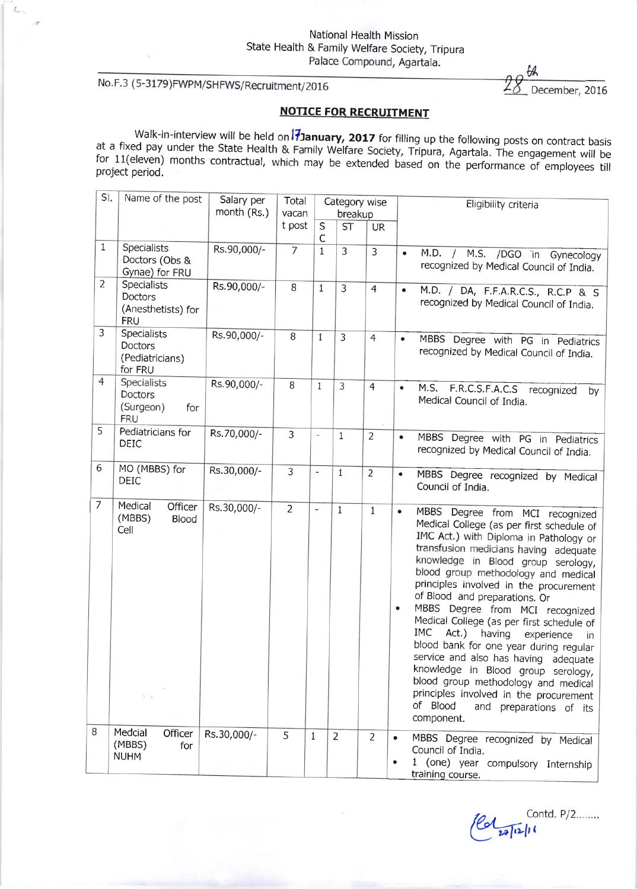# No.F.3 (5-3179)FWPM/SHFWS/Recruitment/2016

 $\mathcal{L}_{\text{max}}$ 

December, 2016

## NOTICE FOR RECRUITMENT

Walk-in-interview will be held on **17 January, 2017** for filling up the following posts on contract basis at a fixed pay under the State Health & Family Welfare Society, Tripura, Agartala. The engagement will be for 11(ele

| SI.            | Name of the post                                                   | Salary per  | Total          |                          |                | Category wise  | Eligibility criteria                                                                                                                                                                                                                                                                                                                                                                                                                                                                                                                                                                                                                                                                                                                        |
|----------------|--------------------------------------------------------------------|-------------|----------------|--------------------------|----------------|----------------|---------------------------------------------------------------------------------------------------------------------------------------------------------------------------------------------------------------------------------------------------------------------------------------------------------------------------------------------------------------------------------------------------------------------------------------------------------------------------------------------------------------------------------------------------------------------------------------------------------------------------------------------------------------------------------------------------------------------------------------------|
|                |                                                                    | month (Rs.) | vacan          |                          | breakup        |                |                                                                                                                                                                                                                                                                                                                                                                                                                                                                                                                                                                                                                                                                                                                                             |
|                |                                                                    |             | t post         | S<br>С                   | <b>ST</b>      | <b>UR</b>      |                                                                                                                                                                                                                                                                                                                                                                                                                                                                                                                                                                                                                                                                                                                                             |
| $\mathbf{1}$   | <b>Specialists</b><br>Doctors (Obs &<br>Gynae) for FRU             | Rs.90,000/- | $\overline{7}$ | $\mathbf{1}$             | 3              | $\overline{3}$ | M.D.<br>/ M.S. /DGO in Gynecology<br>٠<br>recognized by Medical Council of India.                                                                                                                                                                                                                                                                                                                                                                                                                                                                                                                                                                                                                                                           |
| $\overline{2}$ | <b>Specialists</b><br>Doctors<br>(Anesthetists) for<br><b>FRU</b>  | Rs.90,000/- | 8              | $\mathbf{1}$             | $\overline{3}$ | $\overline{4}$ | M.D. / DA, F.F.A.R.C.S., R.C.P & S<br>٠<br>recognized by Medical Council of India.                                                                                                                                                                                                                                                                                                                                                                                                                                                                                                                                                                                                                                                          |
| 3              | <b>Specialists</b><br><b>Doctors</b><br>(Pediatricians)<br>for FRU | Rs.90,000/- | 8              | 1                        | $\overline{3}$ | $\overline{4}$ | MBBS Degree with PG in Pediatrics<br>$\bullet$<br>recognized by Medical Council of India.                                                                                                                                                                                                                                                                                                                                                                                                                                                                                                                                                                                                                                                   |
| $\overline{4}$ | <b>Specialists</b><br>Doctors<br>(Surgeon)<br>for<br><b>FRU</b>    | Rs.90,000/- | $\, 8$         | $\mathbf{1}$             | 3              | $\overline{4}$ | M.S.<br>F.R.C.S.F.A.C.S<br>$\bullet$<br>recognized<br>by<br>Medical Council of India.                                                                                                                                                                                                                                                                                                                                                                                                                                                                                                                                                                                                                                                       |
| 5              | Pediatricians for<br><b>DEIC</b>                                   | Rs.70,000/- | 3              | $\overline{\phantom{a}}$ | $\mathbf{1}$   | $\overline{2}$ | MBBS Degree with PG in Pediatrics<br>٠<br>recognized by Medical Council of India.                                                                                                                                                                                                                                                                                                                                                                                                                                                                                                                                                                                                                                                           |
| 6              | MO (MBBS) for<br>DEIC                                              | Rs.30,000/- | 3              | $\overline{\phantom{a}}$ | 1              | $\overline{2}$ | MBBS Degree recognized by Medical<br>٠<br>Council of India.                                                                                                                                                                                                                                                                                                                                                                                                                                                                                                                                                                                                                                                                                 |
| $\overline{7}$ | Medical<br>Officer<br>(MBBS)<br><b>Blood</b><br>Cell<br>÷.         | Rs.30,000/- | $\overline{2}$ | $\overline{\phantom{a}}$ | $\mathbf{1}$   | 1              | MBBS Degree from MCI recognized<br>$\bullet$<br>Medical College (as per first schedule of<br>IMC Act.) with Diploma in Pathology or<br>transfusion medicians having adequate<br>knowledge in Blood group serology,<br>blood group methodology and medical<br>principles involved in the procurement<br>of Blood and preparations. Or<br>MBBS Degree from MCI recognized<br>$\bullet$<br>Medical College (as per first schedule of<br>IMC<br>Act.) having<br>experience<br>in.<br>blood bank for one year during regular<br>service and also has having adequate<br>knowledge in Blood group serology,<br>blood group methodology and medical<br>principles involved in the procurement<br>of Blood<br>and preparations of its<br>component. |
| 8              | Medcial<br>Officer<br>(MBBS)<br>for<br><b>NUHM</b>                 | Rs.30,000/- | 5              | $\mathbf{1}$             | $\overline{2}$ | $\overline{2}$ | MBBS Degree recognized by Medical<br>۰<br>Council of India.<br>1 (one) year compulsory Internship<br>training course.                                                                                                                                                                                                                                                                                                                                                                                                                                                                                                                                                                                                                       |

Contd. P/2........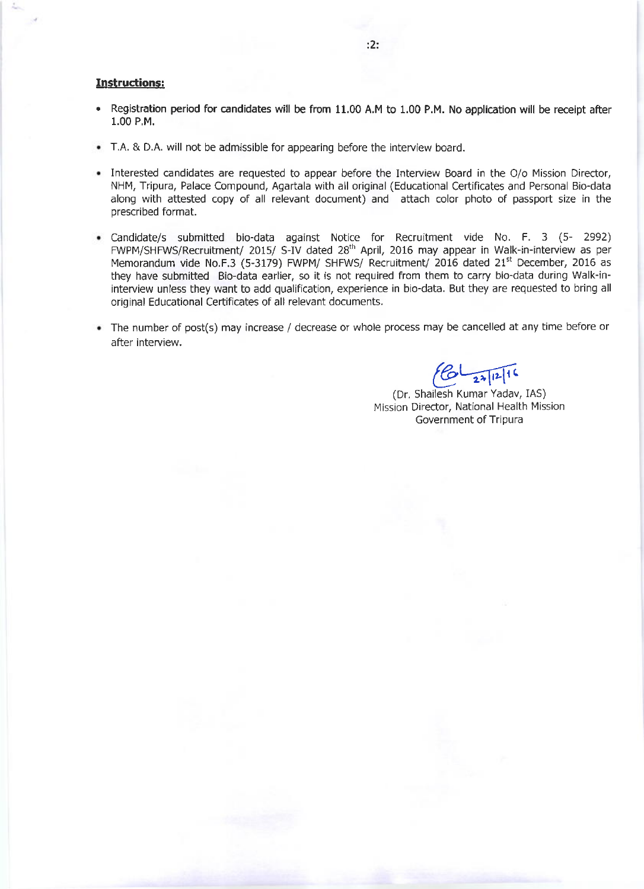#### Instructions:

- . Registration period for candidates will be from 11.00 A.M to 1.00 P.M. No application will be receipt after 1.00 P.M.
- T.A. & D.A. will not be admissible for appearing before the interview board.
- Interested candidates are requested to appear before the Interview Board in the O/o Mission Director, NHM, Tripura, Palace Compound, Agartala with all original (Educational Certificates and Personal Bio-data along with attested copy of all relevant document) and attach color photo of passport size in the prescribed format.
- Candidate/s submitted bio-data against Notice for Recruitment vide No. F. 3 (5- 2992) FWPM/SHFWS/Recruitment/ 2015/ S-IV dated 28<sup>th</sup> April, 2016 may appear in Walk-in-interview as per Memorandum vide No.F.3 (5-3179) FWPM/ SHFWS/ Recruitment/ 2016 dated 21<sup>st</sup> December, 2016 as they have submitted Bio-data earlier, so it is not required from them to carry bio-data during Walk-ininterview unless they want to add qualification, experience in bio-data. But they are requested to bring all original Educational Certificates of all relevant documents.
- The number of post(s) may increase / decrease or whole process may be cancelled at any time before or after interview.

 $6 - \frac{1}{24}$ 16

(Dr. Shailesh Kumar Yadav, IAS) Mission Director, National Health Mission Government of Tripura